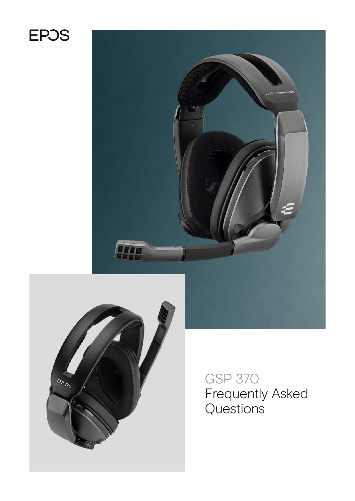# **EPOS**





GSP 370 Frequently Asked Questions